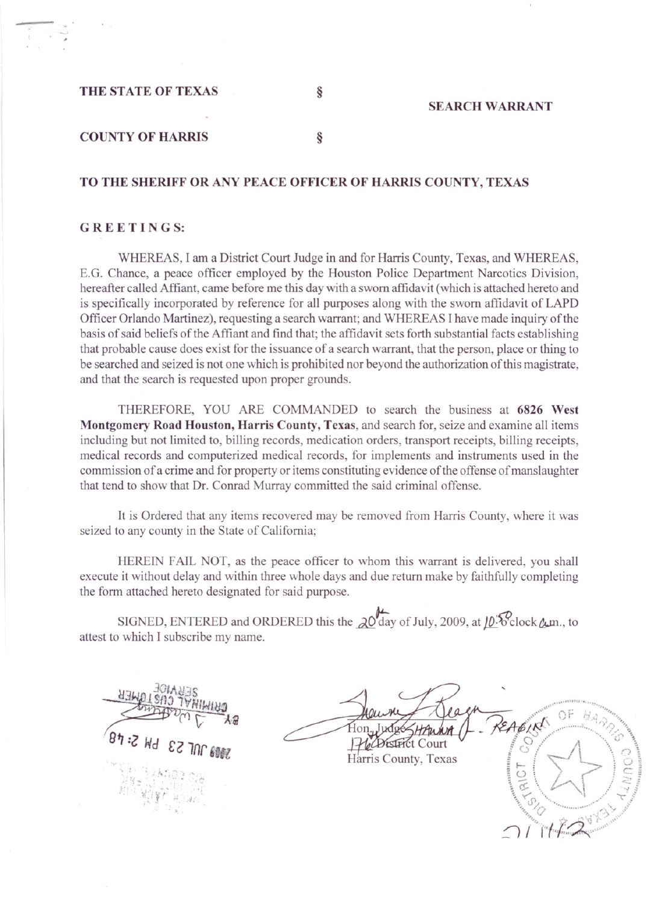THE STATE OF TEXAS

SEARCH WARRANT

## COUNTY OF HARRIS §

TO THE SHERIFF OR ANY PEACE OFFICER OF HARRIS COUNTY, TEXAS

# G R E E TIN G S:

WHEREAS, I am a District Court Judge in and for Harris County, Texas, and WHEREAS, E.G. Chance, a peace officer employed by the Houston Police Department Narcotics Division, hereafter called Affiant, came before me this day with a sworn affidavit (which is attached hereto and is specifically incorporated by reference for all purposes along with the sworn affidavit of LAPD Officer Orlando Martinez), requesting a search warrant; and WHEREAS I have made inquiry of the basis of said beliefs of the Affiant and find that; the affidavit sets forth substantial facts establishing that probable cause does exist for the issuance of a search warrant, that the person, place or thing to be searched and seized is not one which is prohibited nor beyond the authorization of this magistrate, and that the search is requested upon proper grounds.

THEREFORE, YOU ARE COMMANDED to search the business at 6826 West Montgomery Road Houston, Harris County, Texas, and search for, seize and examine all items including but not limited to, billing records, medication orders, transport receipts, billing receipts, medical records and computerized medical records, for implements and instruments used in the commission of a crime and for property or items constituting evidence of the offense of manslaughter that tend to show that Dr. Conrad Murray committed the said criminal offense.

It is Ordered that any items recovered may be removed from Harris County, where it was seized to any county in the State of California;

HEREIN FAIL NOT, as the peace officer to whom this warrant is delivered, you shall execute it without delay and within three whole days and due return make by faithfully completing the form attached hereto designated for said purpose.

SIGNED, ENTERED and ORDERED this the  $\alpha$ <sup>0</sup>day of July, 2009, at <u>10</u><sup>5</sup>clock  $\alpha$ m., to attest to which I subscribe my name.

 $\{j_{12}^{11}, \, j_{1}^{11} \}$  .  $\{440.01, p_{1}$  $/$   $\frac{1}{2}$   $\frac{1}{2}$ 

EAGIN **R**t Court O

Harris County, Texas

HA P.P Ö